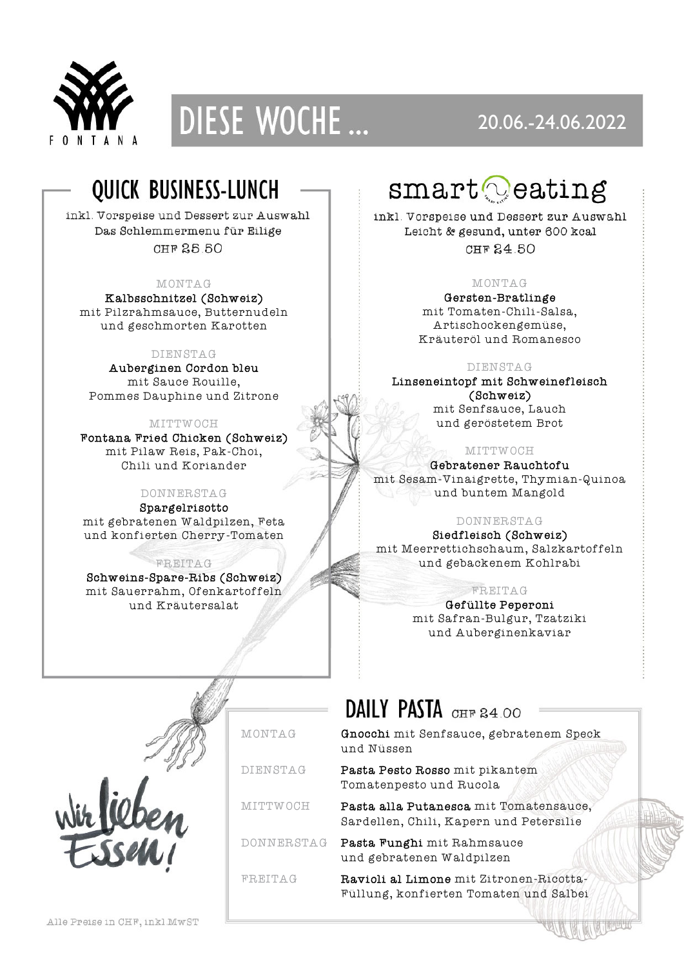



### 20.06.-24.06.2022

## QUICK BUSINESS-LUNCH

inkl. Vorspeise und Dessert zur Auswahl Das Schlemmermenu für Eilige CHF 25.50

### MONTAG

Kalbsschnitzel (Schweiz) mit Pilzrahmsauce, Butternudeln und geschmorten Karotten

### DIENSTAG

Auberginen Cordon bleu mit Sauce Rouille, Pommes Dauphine und Zitrone

MITTWOCH

Fontana Fried Chicken (Schweiz) mit Pilaw Reis, Pak-Choi, Chili und Koriander

### DONNERSTAG

Spargelrisotto mit gebratenen Waldpilzen, Feta und konfierten Cherry-Tomaten

FREITAG

Schweins-Spare-Ribs (Schweiz) mit Sauerrahm, Ofenkartoffeln und Kräutersalat

# $\texttt{smart} \odot$ eating

inkl. Vorspeise und Dessert zur Auswahl Leicht & gesund, unter 600 kcal CHF 24 50

### MONTAG

Gersten-Bratlinge mit Tomaten-Chili-Salsa, Artischockengemüse, Kräuteröl und Romanesco

### DIENSTAG

Linseneintopf mit Schweinefleisch (Schweiz) mit Senfsauce, Lauch

und geröstetem Brot

### MITTWOCH

Gebratener Rauchtofu mit Sesam-Vinaigrette, Thymian-Quinoa und buntem Mangold

### DONNERSTAG

Siedfleisch (Schweiz) mit Meerrettichschaum, Salzkartoffeln und gebackenem Kohlrabi

### FREITAG

Gefüllte Peperoni mit Safran-Bulgur, Tzatziki und Auberginenkaviar



## DAILY PASTA CHF 84.00

MONTAG Gnocchi mit Senfsauce, gebratenem Speck und Nüssen

DIENSTAG Pasta Pesto Rosso mit pikantem Tomatenpesto und Rucola

MITTWOCH Pasta alla Putanesca mit Tomatensauce, Sardellen, Chili, Kapern und Petersilie

DONNERSTAG Pasta Funghi mit Rahmsauce und gebratenen Waldpilzen

FREITAG Ravioli al Limone mit Zitronen-Ricotta-Füllung, konfierten Tomaten und Salbei